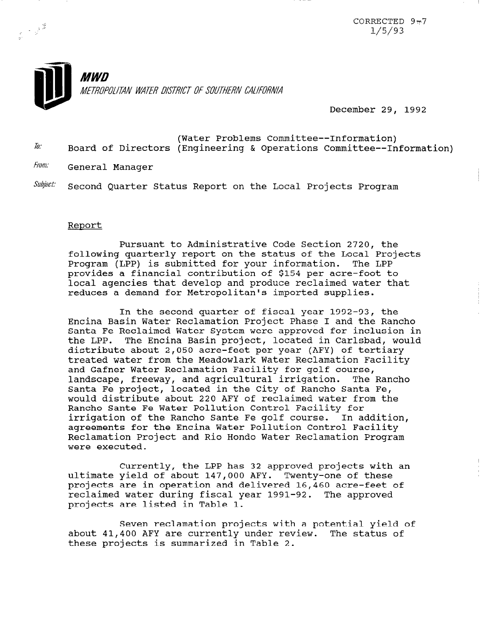

December 29, 1992

- $\overline{10}$ : (Water Problems Committee--Information) Board of Directors (Engineering & Operations Committee--Information)
- From: General Manager

 $\begin{array}{ccc}\n&\rightarrow&\downarrow&\frac{\sqrt{3}}{2} \\
&\rightarrow&\downarrow&\downarrow&\downarrow\n\end{array}$ 

 $\textit{Subject:} \quad$  Second Quarter Status Report on the Local Projects Program

## Report

Pursuant to Administrative Code Section 2720, the following quarterly report on the status of the Local Projects Program (LPP) is submitted for your information. The LPP provides a financial contribution of \$154 per acre-foot to local agencies that develop and produce reclaimed water that reduces a demand for Metropolitan's imported supplies.

In the second quarter of fiscal year 1992-93, the Encina Basin Water Reclamation Project Phase I and the Ranch0 Santa Fe Reclaimed Water System were approved for inclusion in the LPP. The Encina Basin project, located in Carlsbad, would distribute about 2,050 acre-feet per year (AFY) of tertiary treated water from the Meadowlark Water Reclamation Facility and Gafner Water Reclamation Facility for golf course, landscape, freeway, and agricultural irrigation. The Rancho Santa Fe project, located in the City of Rancho Santa Fe, would distribute about 220 AFY of reclaimed water from the Ranch0 Sante Fe Water Pollution Control Facility for irrigation of the Ranch0 Sante Fe golf course. In addition, agreements for the Encina Water Pollution Control Facility Reclamation Project and Rio Hondo Water Reclamation Program were executed.

Currently, the LPP has 32 approved projects with an ultimate yield of about 147,000 AFY. Twenty-one of these projects are in operation and delivered 16,460 acre-feet of projects are in operation and defivered 10,400 acre-reed<br>reclaimed water during fiscal year 1991-92. The approxed projects and the during its cally

Seven reclamation projects with a potential yield of about 41,400 AFW are currently with a potential yield about  $41,400$  AFY are currently under review. The status of these projects is summarized in Table 2.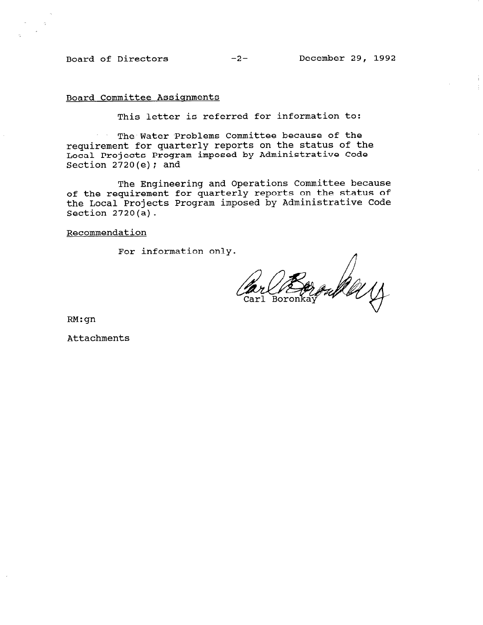## Board Committee Assiqnments

This letter is referred for information to:

The Water Problems Committee because of the requirement for quarterly reports on the status of the Local Projects Program imposed by Administrative Code Section  $2720(e)$ ; and

The Engineering and Operations Committee because of the requirement for quarterly reports on the status of the Local Projects Program imposed by Administrative Code Section 2720(a).

Recommendation

For information only.

oule y Carl Boronkay

RM:gn

Attachments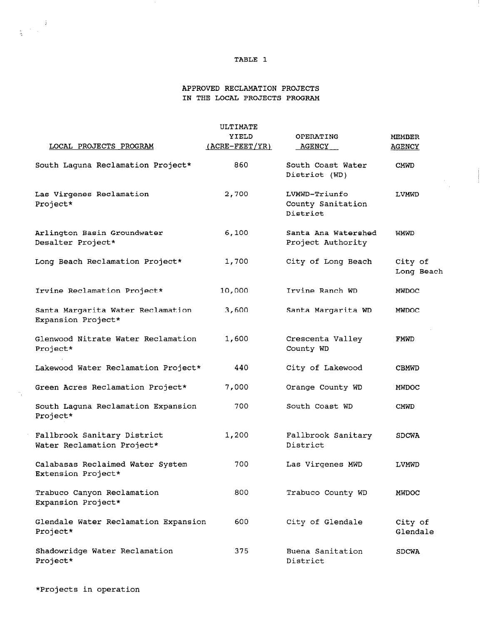## TABLE 1

J.

## APPROVED RECLAMATION PROJECTS IN THE LOCAL PROJECTS PROGRAM

|                                                           | ULTIMATE                |                                                |                                |
|-----------------------------------------------------------|-------------------------|------------------------------------------------|--------------------------------|
| LOCAL PROJECTS PROGRAM                                    | YIELD<br>(ACRE-FEET/YR) | OPERATING<br><b>AGENCY</b>                     | <b>MEMBER</b><br><b>AGENCY</b> |
| South Laguna Reclamation Project*                         | 860                     | South Coast Water<br>District (WD)             | CMWD                           |
| Las Virgenes Reclamation<br>Project*                      | 2,700                   | LVMWD-Triunfo<br>County Sanitation<br>District | LVMWD                          |
| Arlington Basin Groundwater<br>Desalter Project*          | 6,100                   | Santa Ana Watershed<br>Project Authority       | WMWD                           |
| Long Beach Reclamation Project*                           | 1,700                   | City of Long Beach                             | City of<br>Long Beach          |
| Irvine Reclamation Project*                               | 10,000                  | Irvine Ranch WD                                | <b>MWDOC</b>                   |
| Santa Margarita Water Reclamation<br>Expansion Project*   | 3,600                   | Santa Margarita WD                             | <b>MWDOC</b>                   |
| Glenwood Nitrate Water Reclamation<br>Project*            | 1,600                   | Crescenta Valley<br>County WD                  | FMWD                           |
| Lakewood Water Reclamation Project*                       | 440                     | City of Lakewood                               | <b>CBMWD</b>                   |
| Green Acres Reclamation Project*                          | 7,000                   | Orange County WD                               | <b>MWDOC</b>                   |
| South Laguna Reclamation Expansion<br>Project*            | 700                     | South Coast WD                                 | <b>CMWD</b>                    |
| Fallbrook Sanitary District<br>Water Reclamation Project* | 1,200                   | Fallbrook Sanitary<br>District                 | <b>SDCWA</b>                   |
| Calabasas Reclaimed Water System<br>Extension Project*    | 700                     | Las Virgenes MWD                               | LVMWD                          |
| Trabuco Canyon Reclamation<br>Expansion Project*          | 800                     | Trabuco County WD                              | <b>MWDOC</b>                   |
| Glendale Water Reclamation Expansion<br>Project*          | 600                     | City of Glendale                               | City of<br>Glendale            |
| Shadowridge Water Reclamation<br>Project*                 | 375                     | Buena Sanitation<br>District                   | <b>SDCWA</b>                   |

 $\frac{1}{2} \left( \begin{array}{cc} \frac{1}{2} & \frac{1}{2} \\ \frac{1}{2} & \frac{1}{2} \end{array} \right)$ 

 $\mathcal{P}_j$ 

 $\mathcal{L}_{\mathcal{A}}$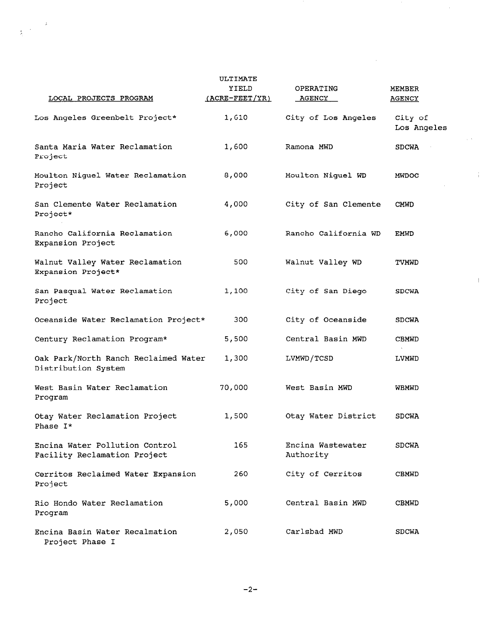|                                                                | ULTIMATE       |                                |                        |
|----------------------------------------------------------------|----------------|--------------------------------|------------------------|
|                                                                | YIELD          | OPERATING                      | <b>MEMBER</b>          |
| LOCAL PROJECTS PROGRAM                                         | (ACRE-FEET/YR) | AGENCY                         | <b>AGENCY</b>          |
| Los Angeles Greenbelt Project*                                 | 1,610          | City of Los Angeles            | City of<br>Los Angeles |
| Santa Maria Water Reclamation<br>Project                       | 1,600          | Ramona MWD                     | <b>SDCWA</b>           |
| Moulton Niguel Water Reclamation<br>Project                    | 8,000          | Moulton Niguel WD              | <b>MWDOC</b>           |
| San Clemente Water Reclamation<br>Project*                     | 4,000          | City of San Clemente           | <b>CMWD</b>            |
| Rancho California Reclamation<br>Expansion Project             | 6,000          | Rancho California WD           | <b>EMWD</b>            |
| Walnut Valley Water Reclamation<br>Expansion Project*          | 500            | Walnut Valley WD               | TVMWD                  |
| San Pasqual Water Reclamation<br>Project                       | 1,100          | City of San Diego              | <b>SDCWA</b>           |
| Oceanside Water Reclamation Project*                           | 300            | City of Oceanside              | <b>SDCWA</b>           |
| Century Reclamation Program*                                   | 5,500          | Central Basin MWD              | <b>CBMWD</b>           |
| Oak Park/North Ranch Reclaimed Water<br>Distribution System    | 1,300          | LVMWD/TCSD                     | LVMWD                  |
| West Basin Water Reclamation<br>Program                        | 70,000         | West Basin MWD                 | WBMWD                  |
| Otay Water Reclamation Project<br>Phase I*                     | 1,500          | Otay Water District            | <b>SDCWA</b>           |
| Encina Water Pollution Control<br>Facility Reclamation Project | 165            | Encina Wastewater<br>Authority | SDCWA                  |
| Cerritos Reclaimed Water Expansion<br>Project                  | 260            | City of Cerritos               | <b>CBMWD</b>           |
| Rio Hondo Water Reclamation<br>Program                         | 5,000          | Central Basin MWD              | <b>CBMWD</b>           |
| Encina Basin Water Recalmation<br>Project Phase I              | 2,050          | Carlsbad MWD                   | <b>SDCWA</b>           |

 $\epsilon$ 

 $\label{eq:2.1} \frac{1}{\sqrt{2\pi}}\int_{0}^{\infty} \frac{1}{\sqrt{2\pi}}\left(\frac{1}{\sqrt{2\pi}}\right)^{2} \frac{1}{\sqrt{2\pi}}\int_{0}^{\infty} \frac{1}{\sqrt{2\pi}}\left(\frac{1}{\sqrt{2\pi}}\right)^{2} \frac{1}{\sqrt{2\pi}}\int_{0}^{\infty} \frac{1}{\sqrt{2\pi}}\frac{1}{\sqrt{2\pi}}\frac{1}{\sqrt{2\pi}}\frac{1}{\sqrt{2\pi}}\frac{1}{\sqrt{2\pi}}\frac{1}{\sqrt{2\pi}}\frac{1}{\sqrt{2$ 

 $\hat{\mathcal{A}}$ 

 $\frac{1}{2} \left( \sqrt{2} \right)$ 

 $\sim 4^{\circ}$ 

 $\bar{\bar{1}}$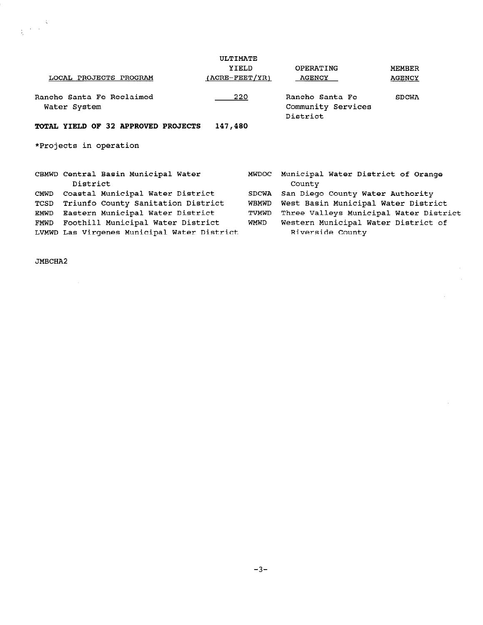|                                                  | ULTIMATE           |                                                   |                                        |  |  |
|--------------------------------------------------|--------------------|---------------------------------------------------|----------------------------------------|--|--|
|                                                  | YIELD              | OPERATING                                         | <b>MEMBER</b>                          |  |  |
| LOCAL PROJECTS PROGRAM                           | $(ACRE - FEET/YR)$ | <b>AGENCY</b>                                     | <b>AGENCY</b>                          |  |  |
| Rancho Santa Fe Reclaimed<br>Water System        | 220                | Rancho Santa Fe<br>Community Services<br>District | <b>SDCWA</b>                           |  |  |
| TOTAL YIELD OF 32 APPROVED PROJECTS              | 147,480            |                                                   |                                        |  |  |
| *Projects in operation                           |                    |                                                   |                                        |  |  |
| CBMWD Central Basin Municipal Water<br>District  |                    | <b>MWDOC</b><br>County                            | Municipal Water District of Orange     |  |  |
| Coastal Municipal Water District<br>CMWD         |                    | <b>SDCWA</b>                                      | San Diego County Water Authority       |  |  |
| Triunfo County Sanitation District<br>TCSD       |                    | WBMWD                                             | West Basin Municipal Water District    |  |  |
| Eastern Municipal Water District<br>EMWD         |                    | TVMWD                                             | Three Valleys Municipal Water District |  |  |
| Foothill Municipal Water District<br><b>FMWD</b> |                    | WMWD                                              | Western Municipal Water District of    |  |  |
| LVMWD Las Virgenes Municipal Water District      |                    |                                                   | Riverside County                       |  |  |

 $\mathcal{A}^{\mathcal{A}}$ 

 $\mathcal{L}_{\mathrm{eff}}$ 

JMBCHA2

 $\sim 10$